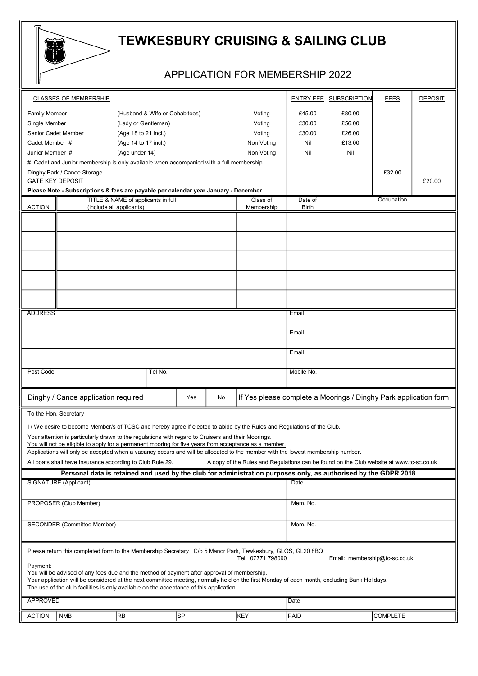

## TEWKESBURY CRUISING & SAILING CLUB

## APPLICATION FOR MEMBERSHIP 2022

| <b>CLASSES OF MEMBERSHIP</b><br><b>ENTRY FEE</b><br><b>SUBSCRIPTION</b><br><b>FEES</b><br><b>DEPOSIT</b><br>£80.00<br><b>Family Member</b><br>(Husband & Wife or Cohabitees)<br>Voting<br>£45.00<br>Single Member<br>(Lady or Gentleman)<br>£30.00<br>£56.00<br>Voting<br>Senior Cadet Member<br>(Age 18 to 21 incl.)<br>Voting<br>£30.00<br>£26.00<br>Cadet Member #<br>(Age 14 to 17 incl.)<br>Non Voting<br>Nil<br>£13.00<br>(Age under 14)<br>Non Voting<br>Nil<br>Junior Member #<br>Nil<br># Cadet and Junior membership is only available when accompanied with a full membership.<br>Dinghy Park / Canoe Storage<br>£32.00<br><b>GATE KEY DEPOSIT</b><br>£20.00<br>Please Note - Subscriptions & fees are payable per calendar year January - December<br>TITLE & NAME of applicants in full<br>Occupation<br>Class of<br>Date of<br>ACTION<br>(include all applicants)<br>Membership<br>Birth<br><b>ADDRESS</b><br>Email<br>Email<br>Email<br>Tel No.<br>Post Code<br>Mobile No.<br>Dinghy / Canoe application required<br>If Yes please complete a Moorings / Dinghy Park application form<br>No<br>Yes<br>To the Hon. Secretary<br>I / We desire to become Member/s of TCSC and hereby agree if elected to abide by the Rules and Regulations of the Club.<br>Your attention is particularly drawn to the regulations with regard to Cruisers and their Moorings.<br>You will not be eligible to apply for a permanent mooring for five vears from acceptance as a member.<br>Applications will only be accepted when a vacancy occurs and will be allocated to the member with the lowest membership number.<br>All boats shall have Insurance according to Club Rule 29.<br>A copy of the Rules and Regulations can be found on the Club website at www.tc-sc.co.uk<br>Personal data is retained and used by the club for administration purposes only, as authorised by the GDPR 2018.<br>SIGNATURE (Applicant)<br>Date<br>PROPOSER (Club Member)<br>Mem. No.<br><b>SECONDER (Committee Member)</b><br>Mem. No.<br>Please return this completed form to the Membership Secretary . C/o 5 Manor Park, Tewkesbury, GLOS, GL20 8BQ<br>Tel: 07771 798090<br>Email: membership@tc-sc.co.uk<br>Payment:<br>You will be advised of any fees due and the method of payment after approval of membership.<br>Your application will be considered at the next committee meeting, normally held on the first Monday of each month, excluding Bank Holidays.<br>The use of the club facilities is only available on the acceptance of this application.<br>APPROVED<br>Date<br> SP<br>KEY<br><b>RB</b><br><b>COMPLETE</b><br><b>NMB</b><br>PAID<br><b>ACTION</b> |  |  |  |  |  |  |  |  |  |  |  |  |
|--------------------------------------------------------------------------------------------------------------------------------------------------------------------------------------------------------------------------------------------------------------------------------------------------------------------------------------------------------------------------------------------------------------------------------------------------------------------------------------------------------------------------------------------------------------------------------------------------------------------------------------------------------------------------------------------------------------------------------------------------------------------------------------------------------------------------------------------------------------------------------------------------------------------------------------------------------------------------------------------------------------------------------------------------------------------------------------------------------------------------------------------------------------------------------------------------------------------------------------------------------------------------------------------------------------------------------------------------------------------------------------------------------------------------------------------------------------------------------------------------------------------------------------------------------------------------------------------------------------------------------------------------------------------------------------------------------------------------------------------------------------------------------------------------------------------------------------------------------------------------------------------------------------------------------------------------------------------------------------------------------------------------------------------------------------------------------------------------------------------------------------------------------------------------------------------------------------------------------------------------------------------------------------------------------------------------------------------------------------------------------------------------------------------------------------------------------------------------------------------------------------------------------------------------------------------------------------------------------------------------------------------------------------------|--|--|--|--|--|--|--|--|--|--|--|--|
|                                                                                                                                                                                                                                                                                                                                                                                                                                                                                                                                                                                                                                                                                                                                                                                                                                                                                                                                                                                                                                                                                                                                                                                                                                                                                                                                                                                                                                                                                                                                                                                                                                                                                                                                                                                                                                                                                                                                                                                                                                                                                                                                                                                                                                                                                                                                                                                                                                                                                                                                                                                                                                                                    |  |  |  |  |  |  |  |  |  |  |  |  |
|                                                                                                                                                                                                                                                                                                                                                                                                                                                                                                                                                                                                                                                                                                                                                                                                                                                                                                                                                                                                                                                                                                                                                                                                                                                                                                                                                                                                                                                                                                                                                                                                                                                                                                                                                                                                                                                                                                                                                                                                                                                                                                                                                                                                                                                                                                                                                                                                                                                                                                                                                                                                                                                                    |  |  |  |  |  |  |  |  |  |  |  |  |
|                                                                                                                                                                                                                                                                                                                                                                                                                                                                                                                                                                                                                                                                                                                                                                                                                                                                                                                                                                                                                                                                                                                                                                                                                                                                                                                                                                                                                                                                                                                                                                                                                                                                                                                                                                                                                                                                                                                                                                                                                                                                                                                                                                                                                                                                                                                                                                                                                                                                                                                                                                                                                                                                    |  |  |  |  |  |  |  |  |  |  |  |  |
|                                                                                                                                                                                                                                                                                                                                                                                                                                                                                                                                                                                                                                                                                                                                                                                                                                                                                                                                                                                                                                                                                                                                                                                                                                                                                                                                                                                                                                                                                                                                                                                                                                                                                                                                                                                                                                                                                                                                                                                                                                                                                                                                                                                                                                                                                                                                                                                                                                                                                                                                                                                                                                                                    |  |  |  |  |  |  |  |  |  |  |  |  |
|                                                                                                                                                                                                                                                                                                                                                                                                                                                                                                                                                                                                                                                                                                                                                                                                                                                                                                                                                                                                                                                                                                                                                                                                                                                                                                                                                                                                                                                                                                                                                                                                                                                                                                                                                                                                                                                                                                                                                                                                                                                                                                                                                                                                                                                                                                                                                                                                                                                                                                                                                                                                                                                                    |  |  |  |  |  |  |  |  |  |  |  |  |
|                                                                                                                                                                                                                                                                                                                                                                                                                                                                                                                                                                                                                                                                                                                                                                                                                                                                                                                                                                                                                                                                                                                                                                                                                                                                                                                                                                                                                                                                                                                                                                                                                                                                                                                                                                                                                                                                                                                                                                                                                                                                                                                                                                                                                                                                                                                                                                                                                                                                                                                                                                                                                                                                    |  |  |  |  |  |  |  |  |  |  |  |  |
|                                                                                                                                                                                                                                                                                                                                                                                                                                                                                                                                                                                                                                                                                                                                                                                                                                                                                                                                                                                                                                                                                                                                                                                                                                                                                                                                                                                                                                                                                                                                                                                                                                                                                                                                                                                                                                                                                                                                                                                                                                                                                                                                                                                                                                                                                                                                                                                                                                                                                                                                                                                                                                                                    |  |  |  |  |  |  |  |  |  |  |  |  |
|                                                                                                                                                                                                                                                                                                                                                                                                                                                                                                                                                                                                                                                                                                                                                                                                                                                                                                                                                                                                                                                                                                                                                                                                                                                                                                                                                                                                                                                                                                                                                                                                                                                                                                                                                                                                                                                                                                                                                                                                                                                                                                                                                                                                                                                                                                                                                                                                                                                                                                                                                                                                                                                                    |  |  |  |  |  |  |  |  |  |  |  |  |
|                                                                                                                                                                                                                                                                                                                                                                                                                                                                                                                                                                                                                                                                                                                                                                                                                                                                                                                                                                                                                                                                                                                                                                                                                                                                                                                                                                                                                                                                                                                                                                                                                                                                                                                                                                                                                                                                                                                                                                                                                                                                                                                                                                                                                                                                                                                                                                                                                                                                                                                                                                                                                                                                    |  |  |  |  |  |  |  |  |  |  |  |  |
|                                                                                                                                                                                                                                                                                                                                                                                                                                                                                                                                                                                                                                                                                                                                                                                                                                                                                                                                                                                                                                                                                                                                                                                                                                                                                                                                                                                                                                                                                                                                                                                                                                                                                                                                                                                                                                                                                                                                                                                                                                                                                                                                                                                                                                                                                                                                                                                                                                                                                                                                                                                                                                                                    |  |  |  |  |  |  |  |  |  |  |  |  |
|                                                                                                                                                                                                                                                                                                                                                                                                                                                                                                                                                                                                                                                                                                                                                                                                                                                                                                                                                                                                                                                                                                                                                                                                                                                                                                                                                                                                                                                                                                                                                                                                                                                                                                                                                                                                                                                                                                                                                                                                                                                                                                                                                                                                                                                                                                                                                                                                                                                                                                                                                                                                                                                                    |  |  |  |  |  |  |  |  |  |  |  |  |
|                                                                                                                                                                                                                                                                                                                                                                                                                                                                                                                                                                                                                                                                                                                                                                                                                                                                                                                                                                                                                                                                                                                                                                                                                                                                                                                                                                                                                                                                                                                                                                                                                                                                                                                                                                                                                                                                                                                                                                                                                                                                                                                                                                                                                                                                                                                                                                                                                                                                                                                                                                                                                                                                    |  |  |  |  |  |  |  |  |  |  |  |  |
|                                                                                                                                                                                                                                                                                                                                                                                                                                                                                                                                                                                                                                                                                                                                                                                                                                                                                                                                                                                                                                                                                                                                                                                                                                                                                                                                                                                                                                                                                                                                                                                                                                                                                                                                                                                                                                                                                                                                                                                                                                                                                                                                                                                                                                                                                                                                                                                                                                                                                                                                                                                                                                                                    |  |  |  |  |  |  |  |  |  |  |  |  |
|                                                                                                                                                                                                                                                                                                                                                                                                                                                                                                                                                                                                                                                                                                                                                                                                                                                                                                                                                                                                                                                                                                                                                                                                                                                                                                                                                                                                                                                                                                                                                                                                                                                                                                                                                                                                                                                                                                                                                                                                                                                                                                                                                                                                                                                                                                                                                                                                                                                                                                                                                                                                                                                                    |  |  |  |  |  |  |  |  |  |  |  |  |
|                                                                                                                                                                                                                                                                                                                                                                                                                                                                                                                                                                                                                                                                                                                                                                                                                                                                                                                                                                                                                                                                                                                                                                                                                                                                                                                                                                                                                                                                                                                                                                                                                                                                                                                                                                                                                                                                                                                                                                                                                                                                                                                                                                                                                                                                                                                                                                                                                                                                                                                                                                                                                                                                    |  |  |  |  |  |  |  |  |  |  |  |  |
|                                                                                                                                                                                                                                                                                                                                                                                                                                                                                                                                                                                                                                                                                                                                                                                                                                                                                                                                                                                                                                                                                                                                                                                                                                                                                                                                                                                                                                                                                                                                                                                                                                                                                                                                                                                                                                                                                                                                                                                                                                                                                                                                                                                                                                                                                                                                                                                                                                                                                                                                                                                                                                                                    |  |  |  |  |  |  |  |  |  |  |  |  |
|                                                                                                                                                                                                                                                                                                                                                                                                                                                                                                                                                                                                                                                                                                                                                                                                                                                                                                                                                                                                                                                                                                                                                                                                                                                                                                                                                                                                                                                                                                                                                                                                                                                                                                                                                                                                                                                                                                                                                                                                                                                                                                                                                                                                                                                                                                                                                                                                                                                                                                                                                                                                                                                                    |  |  |  |  |  |  |  |  |  |  |  |  |
|                                                                                                                                                                                                                                                                                                                                                                                                                                                                                                                                                                                                                                                                                                                                                                                                                                                                                                                                                                                                                                                                                                                                                                                                                                                                                                                                                                                                                                                                                                                                                                                                                                                                                                                                                                                                                                                                                                                                                                                                                                                                                                                                                                                                                                                                                                                                                                                                                                                                                                                                                                                                                                                                    |  |  |  |  |  |  |  |  |  |  |  |  |
|                                                                                                                                                                                                                                                                                                                                                                                                                                                                                                                                                                                                                                                                                                                                                                                                                                                                                                                                                                                                                                                                                                                                                                                                                                                                                                                                                                                                                                                                                                                                                                                                                                                                                                                                                                                                                                                                                                                                                                                                                                                                                                                                                                                                                                                                                                                                                                                                                                                                                                                                                                                                                                                                    |  |  |  |  |  |  |  |  |  |  |  |  |
|                                                                                                                                                                                                                                                                                                                                                                                                                                                                                                                                                                                                                                                                                                                                                                                                                                                                                                                                                                                                                                                                                                                                                                                                                                                                                                                                                                                                                                                                                                                                                                                                                                                                                                                                                                                                                                                                                                                                                                                                                                                                                                                                                                                                                                                                                                                                                                                                                                                                                                                                                                                                                                                                    |  |  |  |  |  |  |  |  |  |  |  |  |
|                                                                                                                                                                                                                                                                                                                                                                                                                                                                                                                                                                                                                                                                                                                                                                                                                                                                                                                                                                                                                                                                                                                                                                                                                                                                                                                                                                                                                                                                                                                                                                                                                                                                                                                                                                                                                                                                                                                                                                                                                                                                                                                                                                                                                                                                                                                                                                                                                                                                                                                                                                                                                                                                    |  |  |  |  |  |  |  |  |  |  |  |  |
|                                                                                                                                                                                                                                                                                                                                                                                                                                                                                                                                                                                                                                                                                                                                                                                                                                                                                                                                                                                                                                                                                                                                                                                                                                                                                                                                                                                                                                                                                                                                                                                                                                                                                                                                                                                                                                                                                                                                                                                                                                                                                                                                                                                                                                                                                                                                                                                                                                                                                                                                                                                                                                                                    |  |  |  |  |  |  |  |  |  |  |  |  |
|                                                                                                                                                                                                                                                                                                                                                                                                                                                                                                                                                                                                                                                                                                                                                                                                                                                                                                                                                                                                                                                                                                                                                                                                                                                                                                                                                                                                                                                                                                                                                                                                                                                                                                                                                                                                                                                                                                                                                                                                                                                                                                                                                                                                                                                                                                                                                                                                                                                                                                                                                                                                                                                                    |  |  |  |  |  |  |  |  |  |  |  |  |
|                                                                                                                                                                                                                                                                                                                                                                                                                                                                                                                                                                                                                                                                                                                                                                                                                                                                                                                                                                                                                                                                                                                                                                                                                                                                                                                                                                                                                                                                                                                                                                                                                                                                                                                                                                                                                                                                                                                                                                                                                                                                                                                                                                                                                                                                                                                                                                                                                                                                                                                                                                                                                                                                    |  |  |  |  |  |  |  |  |  |  |  |  |
|                                                                                                                                                                                                                                                                                                                                                                                                                                                                                                                                                                                                                                                                                                                                                                                                                                                                                                                                                                                                                                                                                                                                                                                                                                                                                                                                                                                                                                                                                                                                                                                                                                                                                                                                                                                                                                                                                                                                                                                                                                                                                                                                                                                                                                                                                                                                                                                                                                                                                                                                                                                                                                                                    |  |  |  |  |  |  |  |  |  |  |  |  |
|                                                                                                                                                                                                                                                                                                                                                                                                                                                                                                                                                                                                                                                                                                                                                                                                                                                                                                                                                                                                                                                                                                                                                                                                                                                                                                                                                                                                                                                                                                                                                                                                                                                                                                                                                                                                                                                                                                                                                                                                                                                                                                                                                                                                                                                                                                                                                                                                                                                                                                                                                                                                                                                                    |  |  |  |  |  |  |  |  |  |  |  |  |
|                                                                                                                                                                                                                                                                                                                                                                                                                                                                                                                                                                                                                                                                                                                                                                                                                                                                                                                                                                                                                                                                                                                                                                                                                                                                                                                                                                                                                                                                                                                                                                                                                                                                                                                                                                                                                                                                                                                                                                                                                                                                                                                                                                                                                                                                                                                                                                                                                                                                                                                                                                                                                                                                    |  |  |  |  |  |  |  |  |  |  |  |  |
|                                                                                                                                                                                                                                                                                                                                                                                                                                                                                                                                                                                                                                                                                                                                                                                                                                                                                                                                                                                                                                                                                                                                                                                                                                                                                                                                                                                                                                                                                                                                                                                                                                                                                                                                                                                                                                                                                                                                                                                                                                                                                                                                                                                                                                                                                                                                                                                                                                                                                                                                                                                                                                                                    |  |  |  |  |  |  |  |  |  |  |  |  |
|                                                                                                                                                                                                                                                                                                                                                                                                                                                                                                                                                                                                                                                                                                                                                                                                                                                                                                                                                                                                                                                                                                                                                                                                                                                                                                                                                                                                                                                                                                                                                                                                                                                                                                                                                                                                                                                                                                                                                                                                                                                                                                                                                                                                                                                                                                                                                                                                                                                                                                                                                                                                                                                                    |  |  |  |  |  |  |  |  |  |  |  |  |
|                                                                                                                                                                                                                                                                                                                                                                                                                                                                                                                                                                                                                                                                                                                                                                                                                                                                                                                                                                                                                                                                                                                                                                                                                                                                                                                                                                                                                                                                                                                                                                                                                                                                                                                                                                                                                                                                                                                                                                                                                                                                                                                                                                                                                                                                                                                                                                                                                                                                                                                                                                                                                                                                    |  |  |  |  |  |  |  |  |  |  |  |  |
|                                                                                                                                                                                                                                                                                                                                                                                                                                                                                                                                                                                                                                                                                                                                                                                                                                                                                                                                                                                                                                                                                                                                                                                                                                                                                                                                                                                                                                                                                                                                                                                                                                                                                                                                                                                                                                                                                                                                                                                                                                                                                                                                                                                                                                                                                                                                                                                                                                                                                                                                                                                                                                                                    |  |  |  |  |  |  |  |  |  |  |  |  |
|                                                                                                                                                                                                                                                                                                                                                                                                                                                                                                                                                                                                                                                                                                                                                                                                                                                                                                                                                                                                                                                                                                                                                                                                                                                                                                                                                                                                                                                                                                                                                                                                                                                                                                                                                                                                                                                                                                                                                                                                                                                                                                                                                                                                                                                                                                                                                                                                                                                                                                                                                                                                                                                                    |  |  |  |  |  |  |  |  |  |  |  |  |
|                                                                                                                                                                                                                                                                                                                                                                                                                                                                                                                                                                                                                                                                                                                                                                                                                                                                                                                                                                                                                                                                                                                                                                                                                                                                                                                                                                                                                                                                                                                                                                                                                                                                                                                                                                                                                                                                                                                                                                                                                                                                                                                                                                                                                                                                                                                                                                                                                                                                                                                                                                                                                                                                    |  |  |  |  |  |  |  |  |  |  |  |  |
|                                                                                                                                                                                                                                                                                                                                                                                                                                                                                                                                                                                                                                                                                                                                                                                                                                                                                                                                                                                                                                                                                                                                                                                                                                                                                                                                                                                                                                                                                                                                                                                                                                                                                                                                                                                                                                                                                                                                                                                                                                                                                                                                                                                                                                                                                                                                                                                                                                                                                                                                                                                                                                                                    |  |  |  |  |  |  |  |  |  |  |  |  |
|                                                                                                                                                                                                                                                                                                                                                                                                                                                                                                                                                                                                                                                                                                                                                                                                                                                                                                                                                                                                                                                                                                                                                                                                                                                                                                                                                                                                                                                                                                                                                                                                                                                                                                                                                                                                                                                                                                                                                                                                                                                                                                                                                                                                                                                                                                                                                                                                                                                                                                                                                                                                                                                                    |  |  |  |  |  |  |  |  |  |  |  |  |
|                                                                                                                                                                                                                                                                                                                                                                                                                                                                                                                                                                                                                                                                                                                                                                                                                                                                                                                                                                                                                                                                                                                                                                                                                                                                                                                                                                                                                                                                                                                                                                                                                                                                                                                                                                                                                                                                                                                                                                                                                                                                                                                                                                                                                                                                                                                                                                                                                                                                                                                                                                                                                                                                    |  |  |  |  |  |  |  |  |  |  |  |  |
|                                                                                                                                                                                                                                                                                                                                                                                                                                                                                                                                                                                                                                                                                                                                                                                                                                                                                                                                                                                                                                                                                                                                                                                                                                                                                                                                                                                                                                                                                                                                                                                                                                                                                                                                                                                                                                                                                                                                                                                                                                                                                                                                                                                                                                                                                                                                                                                                                                                                                                                                                                                                                                                                    |  |  |  |  |  |  |  |  |  |  |  |  |
|                                                                                                                                                                                                                                                                                                                                                                                                                                                                                                                                                                                                                                                                                                                                                                                                                                                                                                                                                                                                                                                                                                                                                                                                                                                                                                                                                                                                                                                                                                                                                                                                                                                                                                                                                                                                                                                                                                                                                                                                                                                                                                                                                                                                                                                                                                                                                                                                                                                                                                                                                                                                                                                                    |  |  |  |  |  |  |  |  |  |  |  |  |
|                                                                                                                                                                                                                                                                                                                                                                                                                                                                                                                                                                                                                                                                                                                                                                                                                                                                                                                                                                                                                                                                                                                                                                                                                                                                                                                                                                                                                                                                                                                                                                                                                                                                                                                                                                                                                                                                                                                                                                                                                                                                                                                                                                                                                                                                                                                                                                                                                                                                                                                                                                                                                                                                    |  |  |  |  |  |  |  |  |  |  |  |  |
|                                                                                                                                                                                                                                                                                                                                                                                                                                                                                                                                                                                                                                                                                                                                                                                                                                                                                                                                                                                                                                                                                                                                                                                                                                                                                                                                                                                                                                                                                                                                                                                                                                                                                                                                                                                                                                                                                                                                                                                                                                                                                                                                                                                                                                                                                                                                                                                                                                                                                                                                                                                                                                                                    |  |  |  |  |  |  |  |  |  |  |  |  |
|                                                                                                                                                                                                                                                                                                                                                                                                                                                                                                                                                                                                                                                                                                                                                                                                                                                                                                                                                                                                                                                                                                                                                                                                                                                                                                                                                                                                                                                                                                                                                                                                                                                                                                                                                                                                                                                                                                                                                                                                                                                                                                                                                                                                                                                                                                                                                                                                                                                                                                                                                                                                                                                                    |  |  |  |  |  |  |  |  |  |  |  |  |
|                                                                                                                                                                                                                                                                                                                                                                                                                                                                                                                                                                                                                                                                                                                                                                                                                                                                                                                                                                                                                                                                                                                                                                                                                                                                                                                                                                                                                                                                                                                                                                                                                                                                                                                                                                                                                                                                                                                                                                                                                                                                                                                                                                                                                                                                                                                                                                                                                                                                                                                                                                                                                                                                    |  |  |  |  |  |  |  |  |  |  |  |  |
|                                                                                                                                                                                                                                                                                                                                                                                                                                                                                                                                                                                                                                                                                                                                                                                                                                                                                                                                                                                                                                                                                                                                                                                                                                                                                                                                                                                                                                                                                                                                                                                                                                                                                                                                                                                                                                                                                                                                                                                                                                                                                                                                                                                                                                                                                                                                                                                                                                                                                                                                                                                                                                                                    |  |  |  |  |  |  |  |  |  |  |  |  |
|                                                                                                                                                                                                                                                                                                                                                                                                                                                                                                                                                                                                                                                                                                                                                                                                                                                                                                                                                                                                                                                                                                                                                                                                                                                                                                                                                                                                                                                                                                                                                                                                                                                                                                                                                                                                                                                                                                                                                                                                                                                                                                                                                                                                                                                                                                                                                                                                                                                                                                                                                                                                                                                                    |  |  |  |  |  |  |  |  |  |  |  |  |
|                                                                                                                                                                                                                                                                                                                                                                                                                                                                                                                                                                                                                                                                                                                                                                                                                                                                                                                                                                                                                                                                                                                                                                                                                                                                                                                                                                                                                                                                                                                                                                                                                                                                                                                                                                                                                                                                                                                                                                                                                                                                                                                                                                                                                                                                                                                                                                                                                                                                                                                                                                                                                                                                    |  |  |  |  |  |  |  |  |  |  |  |  |
|                                                                                                                                                                                                                                                                                                                                                                                                                                                                                                                                                                                                                                                                                                                                                                                                                                                                                                                                                                                                                                                                                                                                                                                                                                                                                                                                                                                                                                                                                                                                                                                                                                                                                                                                                                                                                                                                                                                                                                                                                                                                                                                                                                                                                                                                                                                                                                                                                                                                                                                                                                                                                                                                    |  |  |  |  |  |  |  |  |  |  |  |  |
|                                                                                                                                                                                                                                                                                                                                                                                                                                                                                                                                                                                                                                                                                                                                                                                                                                                                                                                                                                                                                                                                                                                                                                                                                                                                                                                                                                                                                                                                                                                                                                                                                                                                                                                                                                                                                                                                                                                                                                                                                                                                                                                                                                                                                                                                                                                                                                                                                                                                                                                                                                                                                                                                    |  |  |  |  |  |  |  |  |  |  |  |  |